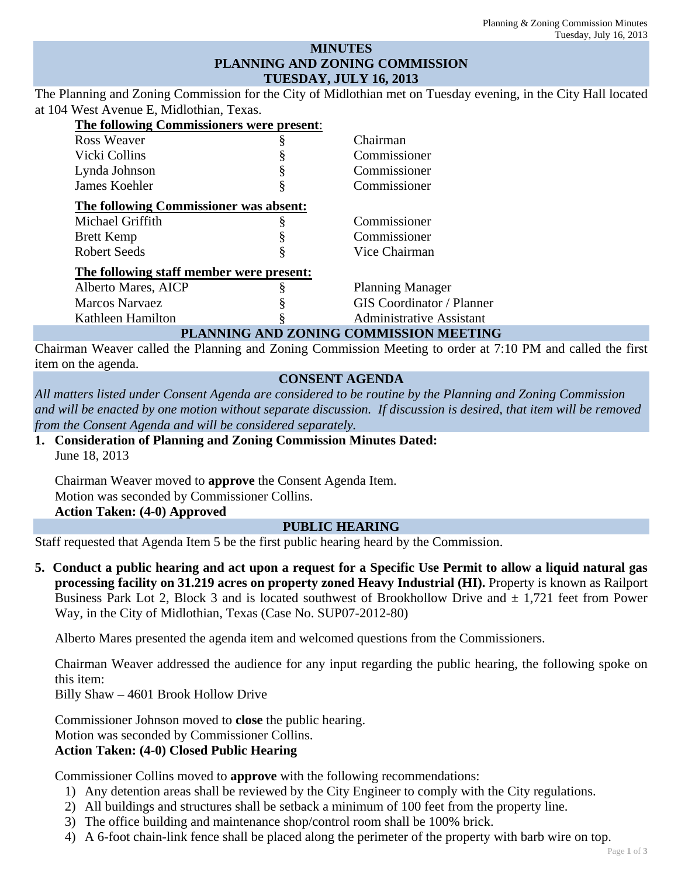#### **MINUTES PLANNING AND ZONING COMMISSION TUESDAY, JULY 16, 2013**

The Planning and Zoning Commission for the City of Midlothian met on Tuesday evening, in the City Hall located at 104 West Avenue E, Midlothian, Texas.

| The following Commissioners were present: |   |                                        |
|-------------------------------------------|---|----------------------------------------|
| <b>Ross Weaver</b>                        | Š | Chairman                               |
| Vicki Collins                             |   | Commissioner                           |
| Lynda Johnson                             | § | Commissioner                           |
| James Koehler                             |   | Commissioner                           |
| The following Commissioner was absent:    |   |                                        |
| Michael Griffith                          |   | Commissioner                           |
| <b>Brett Kemp</b>                         |   | Commissioner                           |
| <b>Robert Seeds</b>                       | § | Vice Chairman                          |
| The following staff member were present:  |   |                                        |
| Alberto Mares, AICP                       |   | <b>Planning Manager</b>                |
| <b>Marcos Narvaez</b>                     |   | <b>GIS</b> Coordinator / Planner       |
| Kathleen Hamilton                         |   | <b>Administrative Assistant</b>        |
|                                           |   | PLANNING AND ZONING COMMISSION MEETING |

Chairman Weaver called the Planning and Zoning Commission Meeting to order at 7:10 PM and called the first item on the agenda.

# **CONSENT AGENDA**

*All matters listed under Consent Agenda are considered to be routine by the Planning and Zoning Commission and will be enacted by one motion without separate discussion. If discussion is desired, that item will be removed from the Consent Agenda and will be considered separately.*

**1. Consideration of Planning and Zoning Commission Minutes Dated:**  June 18, 2013

Chairman Weaver moved to **approve** the Consent Agenda Item. Motion was seconded by Commissioner Collins. **Action Taken: (4-0) Approved** 

#### **PUBLIC HEARING**

Staff requested that Agenda Item 5 be the first public hearing heard by the Commission.

**5. Conduct a public hearing and act upon a request for a Specific Use Permit to allow a liquid natural gas processing facility on 31.219 acres on property zoned Heavy Industrial (HI).** Property is known as Railport Business Park Lot 2, Block 3 and is located southwest of Brookhollow Drive and  $\pm$  1,721 feet from Power Way, in the City of Midlothian, Texas (Case No. SUP07-2012-80)

Alberto Mares presented the agenda item and welcomed questions from the Commissioners.

Chairman Weaver addressed the audience for any input regarding the public hearing, the following spoke on this item:

Billy Shaw – 4601 Brook Hollow Drive

Commissioner Johnson moved to **close** the public hearing.

Motion was seconded by Commissioner Collins.

# **Action Taken: (4-0) Closed Public Hearing**

Commissioner Collins moved to **approve** with the following recommendations:

- 1) Any detention areas shall be reviewed by the City Engineer to comply with the City regulations.
- 2) All buildings and structures shall be setback a minimum of 100 feet from the property line.
- 3) The office building and maintenance shop/control room shall be 100% brick.
- 4) A 6-foot chain-link fence shall be placed along the perimeter of the property with barb wire on top.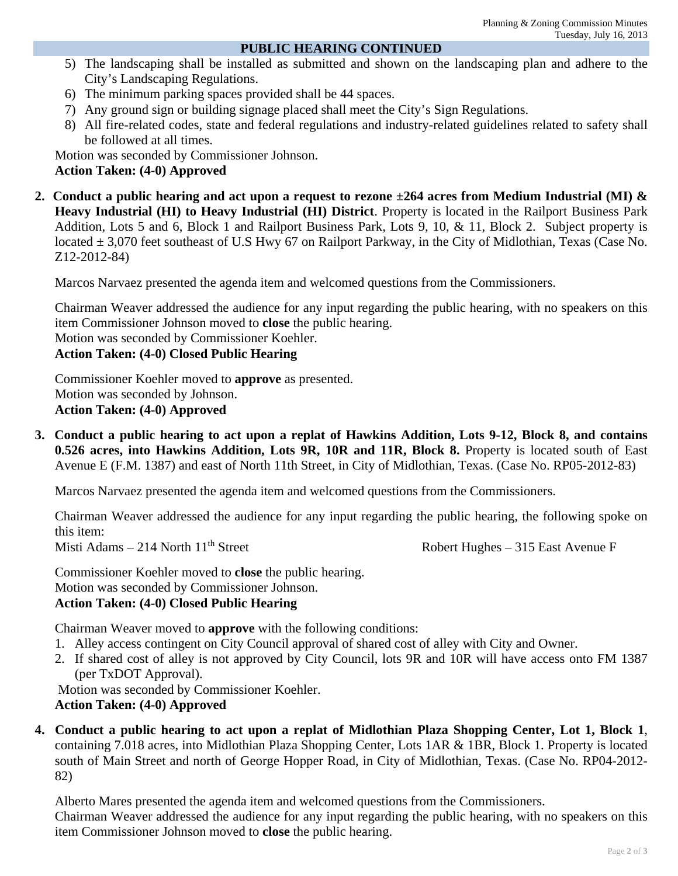#### **PUBLIC HEARING CONTINUED**

- 5) The landscaping shall be installed as submitted and shown on the landscaping plan and adhere to the City's Landscaping Regulations.
- 6) The minimum parking spaces provided shall be 44 spaces.
- 7) Any ground sign or building signage placed shall meet the City's Sign Regulations.
- 8) All fire-related codes, state and federal regulations and industry-related guidelines related to safety shall be followed at all times.

Motion was seconded by Commissioner Johnson.

### **Action Taken: (4-0) Approved**

**2. Conduct a public hearing and act upon a request to rezone ±264 acres from Medium Industrial (MI) & Heavy Industrial (HI) to Heavy Industrial (HI) District**. Property is located in the Railport Business Park Addition, Lots 5 and 6, Block 1 and Railport Business Park, Lots 9, 10, & 11, Block 2. Subject property is located ± 3,070 feet southeast of U.S Hwy 67 on Railport Parkway, in the City of Midlothian, Texas (Case No. Z12-2012-84)

Marcos Narvaez presented the agenda item and welcomed questions from the Commissioners.

Chairman Weaver addressed the audience for any input regarding the public hearing, with no speakers on this item Commissioner Johnson moved to **close** the public hearing.

Motion was seconded by Commissioner Koehler.

# **Action Taken: (4-0) Closed Public Hearing**

Commissioner Koehler moved to **approve** as presented. Motion was seconded by Johnson. **Action Taken: (4-0) Approved** 

**3. Conduct a public hearing to act upon a replat of Hawkins Addition, Lots 9-12, Block 8, and contains 0.526 acres, into Hawkins Addition, Lots 9R, 10R and 11R, Block 8.** Property is located south of East Avenue E (F.M. 1387) and east of North 11th Street, in City of Midlothian, Texas. (Case No. RP05-2012-83)

Marcos Narvaez presented the agenda item and welcomed questions from the Commissioners.

Chairman Weaver addressed the audience for any input regarding the public hearing, the following spoke on this item: Misti Adams – 214 North  $11<sup>th</sup>$  Street Robert Hughes – 315 East Avenue F

Commissioner Koehler moved to **close** the public hearing. Motion was seconded by Commissioner Johnson. **Action Taken: (4-0) Closed Public Hearing** 

Chairman Weaver moved to **approve** with the following conditions:

- 1. Alley access contingent on City Council approval of shared cost of alley with City and Owner.
- 2. If shared cost of alley is not approved by City Council, lots 9R and 10R will have access onto FM 1387 (per TxDOT Approval).

 Motion was seconded by Commissioner Koehler. **Action Taken: (4-0) Approved** 

**4. Conduct a public hearing to act upon a replat of Midlothian Plaza Shopping Center, Lot 1, Block 1**, containing 7.018 acres, into Midlothian Plaza Shopping Center, Lots 1AR & 1BR, Block 1. Property is located south of Main Street and north of George Hopper Road, in City of Midlothian, Texas. (Case No. RP04-2012- 82)

Alberto Mares presented the agenda item and welcomed questions from the Commissioners.

Chairman Weaver addressed the audience for any input regarding the public hearing, with no speakers on this item Commissioner Johnson moved to **close** the public hearing.